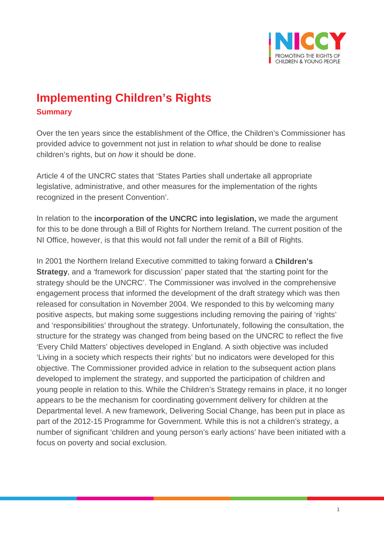

## **Implementing Children's Rights Summary**

Over the ten years since the establishment of the Office, the Children's Commissioner has provided advice to government not just in relation to *what* should be done to realise children's rights, but on *how* it should be done.

Article 4 of the UNCRC states that 'States Parties shall undertake all appropriate legislative, administrative, and other measures for the implementation of the rights recognized in the present Convention'.

In relation to the **incorporation of the UNCRC into legislation,** we made the argument for this to be done through a Bill of Rights for Northern Ireland. The current position of the NI Office, however, is that this would not fall under the remit of a Bill of Rights.

In 2001 the Northern Ireland Executive committed to taking forward a **Children's Strategy**, and a 'framework for discussion' paper stated that 'the starting point for the strategy should be the UNCRC'. The Commissioner was involved in the comprehensive engagement process that informed the development of the draft strategy which was then released for consultation in November 2004. We responded to this by welcoming many positive aspects, but making some suggestions including removing the pairing of 'rights' and 'responsibilities' throughout the strategy. Unfortunately, following the consultation, the structure for the strategy was changed from being based on the UNCRC to reflect the five 'Every Child Matters' objectives developed in England. A sixth objective was included 'Living in a society which respects their rights' but no indicators were developed for this objective. The Commissioner provided advice in relation to the subsequent action plans developed to implement the strategy, and supported the participation of children and young people in relation to this. While the Children's Strategy remains in place, it no longer appears to be the mechanism for coordinating government delivery for children at the Departmental level. A new framework, Delivering Social Change, has been put in place as part of the 2012-15 Programme for Government. While this is not a children's strategy, a number of significant 'children and young person's early actions' have been initiated with a focus on poverty and social exclusion.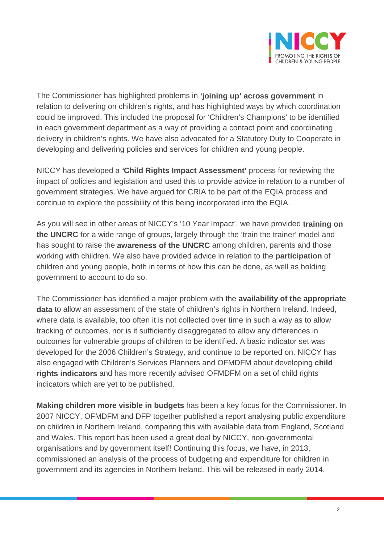

The Commissioner has highlighted problems in **'joining up' across government** in relation to delivering on children's rights, and has highlighted ways by which coordination could be improved. This included the proposal for 'Children's Champions' to be identified in each government department as a way of providing a contact point and coordinating delivery in children's rights. We have also advocated for a Statutory Duty to Cooperate in developing and delivering policies and services for children and young people.

NICCY has developed a *'***Child Rights Impact Assessment'** process for reviewing the impact of policies and legislation and used this to provide advice in relation to a number of government strategies. We have argued for CRIA to be part of the EQIA process and continue to explore the possibility of this being incorporated into the EQIA.

As you will see in other areas of NICCY's '10 Year Impact', we have provided **training on the UNCRC** for a wide range of groups, largely through the 'train the trainer' model and has sought to raise the **awareness of the UNCRC** among children, parents and those working with children. We also have provided advice in relation to the **participation** of children and young people, both in terms of how this can be done, as well as holding government to account to do so.

The Commissioner has identified a major problem with the **availability of the appropriate data** to allow an assessment of the state of children's rights in Northern Ireland. Indeed, where data is available, too often it is not collected over time in such a way as to allow tracking of outcomes, nor is it sufficiently disaggregated to allow any differences in outcomes for vulnerable groups of children to be identified. A basic indicator set was developed for the 2006 Children's Strategy, and continue to be reported on. NICCY has also engaged with Children's Services Planners and OFMDFM about developing **child rights indicators** and has more recently advised OFMDFM on a set of child rights indicators which are yet to be published.

**Making children more visible in budgets** has been a key focus for the Commissioner. In 2007 NICCY, OFMDFM and DFP together published a report analysing public expenditure on children in Northern Ireland, comparing this with available data from England, Scotland and Wales. This report has been used a great deal by NICCY, non-governmental organisations and by government itself! Continuing this focus, we have, in 2013, commissioned an analysis of the process of budgeting and expenditure for children in government and its agencies in Northern Ireland. This will be released in early 2014.